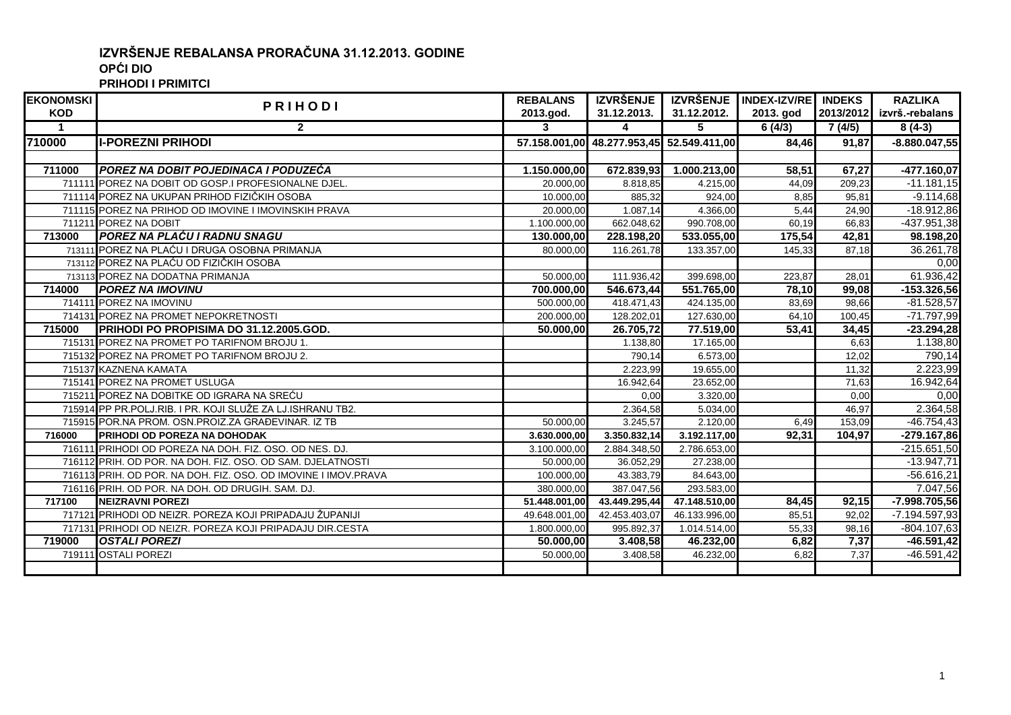## **IZVRŠENJE REBALANSA PRORAČUNA 31.12.2013. GODINE OPĆI DIO**

**PRIHODI I PRIMITCI**

| <b>EKONOMSKI</b>     | <b>PRIHODI</b>                                                 | <b>REBALANS</b> | <b>IZVRŠENJE</b>                          |               | IZVRŠENJE INDEX-IZV/RE INDEKS |           | <b>RAZLIKA</b>  |
|----------------------|----------------------------------------------------------------|-----------------|-------------------------------------------|---------------|-------------------------------|-----------|-----------------|
| <b>KOD</b>           |                                                                | 2013.god.       | 31.12.2013.                               | 31.12.2012.   | 2013. god                     | 2013/2012 | izvrš.-rebalans |
| $\blacktriangleleft$ | $\mathbf{2}$                                                   | 3               | 4                                         | 5             | 6(4/3)                        | 7(4/5)    | $8(4-3)$        |
| 710000               | <b>II-POREZNI PRIHODI</b>                                      |                 | 57.158.001,00 48.277.953,45 52.549.411,00 |               | 84.46                         | 91.87     | $-8.880.047,55$ |
|                      |                                                                |                 |                                           |               |                               |           |                 |
| 711000               | <b>IPOREZ NA DOBIT POJEDINACA I PODUZEĆA</b>                   | 1.150.000,00    | 672.839,93                                | 1.000.213,00  | 58,51                         | 67,27     | -477.160,07     |
|                      | 711111 POREZ NA DOBIT OD GOSP.I PROFESIONALNE DJEL.            | 20.000.00       | 8.818,85                                  | 4.215,00      | 44,09                         | 209,23    | $-11.181,15$    |
|                      | 711114 POREZ NA UKUPAN PRIHOD FIZIČKIH OSOBA                   | 10.000,00       | 885,32                                    | 924,00        | 8,85                          | 95,81     | $-9.114,68$     |
|                      | 711115 POREZ NA PRIHOD OD IMOVINE I IMOVINSKIH PRAVA           | 20.000,00       | 1.087,14                                  | 4.366,00      | 5,44                          | 24,90     | $-18.912,86$    |
|                      | 711211 POREZ NA DOBIT                                          | 1.100.000.00    | 662.048,62                                | 990.708,00    | 60.19                         | 66,83     | -437.951,38     |
| 713000               | <b>POREZ NA PLAĆU I RADNU SNAGU</b>                            | 130.000.00      | 228.198,20                                | 533.055,00    | 175,54                        | 42,81     | 98.198,20       |
|                      | 713111 POREZ NA PLAĆU I DRUGA OSOBNA PRIMANJA                  | 80.000,00       | 116.261,78                                | 133.357,00    | 145,33                        | 87,18     | 36.261,78       |
|                      | 713112 POREZ NA PLAĆU OD FIZIČKIH OSOBA                        |                 |                                           |               |                               |           | 0,00            |
|                      | 713113 POREZ NA DODATNA PRIMANJA                               | 50.000,00       | 111.936,42                                | 399.698,00    | 223,87                        | 28,01     | 61.936,42       |
| 714000               | <b>POREZ NA IMOVINU</b>                                        | 700.000,00      | 546.673,44                                | 551.765,00    | 78,10                         | 99,08     | $-153.326,56$   |
|                      | 714111 POREZ NA IMOVINU                                        | 500.000,00      | 418.471,43                                | 424.135,00    | 83,69                         | 98,66     | $-81.528,57$    |
|                      | 714131 POREZ NA PROMET NEPOKRETNOSTI                           | 200.000,00      | 128.202,01                                | 127.630,00    | 64,10                         | 100,45    | $-71.797,99$    |
| 715000               | PRIHODI PO PROPISIMA DO 31.12.2005.GOD.                        | 50.000,00       | 26.705,72                                 | 77.519,00     | 53,41                         | 34,45     | $-23.294,28$    |
|                      | 715131 POREZ NA PROMET PO TARIFNOM BROJU 1.                    |                 | 1.138,80                                  | 17.165,00     |                               | 6,63      | 1.138,80        |
|                      | 715132 POREZ NA PROMET PO TARIFNOM BROJU 2.                    |                 | 790,14                                    | 6.573,00      |                               | 12,02     | 790,14          |
|                      | 715137 KAZNENA KAMATA                                          |                 | 2.223,99                                  | 19.655,00     |                               | 11,32     | 2.223,99        |
|                      | 715141 POREZ NA PROMET USLUGA                                  |                 | 16.942,64                                 | 23.652,00     |                               | 71,63     | 16.942,64       |
|                      | 715211 POREZ NA DOBITKE OD IGRARA NA SREĆU                     |                 | 0,00                                      | 3.320,00      |                               | 0,00      | 0,00            |
|                      | 715914 PP PR.POLJ.RIB. I PR. KOJI SLUŽE ZA LJ.ISHRANU TB2.     |                 | 2.364,58                                  | 5.034,00      |                               | 46.97     | 2.364,58        |
|                      | 715915 POR NA PROM. OSN PROIZ ZA GRAĐEVINAR. IZ TB             | 50.000.00       | 3.245,57                                  | 2.120,00      | 6.49                          | 153,09    | $-46.754,43$    |
| 716000               | <b>PRIHODI OD POREZA NA DOHODAK</b>                            | 3.630.000.00    | 3.350.832,14                              | 3.192.117,00  | 92,31                         | 104,97    | $-279.167,86$   |
|                      | 716111 PRIHODI OD POREZA NA DOH. FIZ. OSO. OD NES. DJ.         | 3.100.000,00    | 2.884.348,50                              | 2.786.653,00  |                               |           | $-215.651,50$   |
|                      | 716112 PRIH. OD POR. NA DOH. FIZ. OSO. OD SAM. DJELATNOSTI     | 50.000,00       | 36.052,29                                 | 27.238,00     |                               |           | $-13.947,71$    |
|                      | 716113 PRIH. OD POR. NA DOH. FIZ. OSO. OD IMOVINE I IMOV.PRAVA | 100.000,00      | 43.383,79                                 | 84.643,00     |                               |           | $-56.616,21$    |
|                      | 716116 PRIH. OD POR. NA DOH. OD DRUGIH. SAM. DJ.               | 380.000,00      | 387.047,56                                | 293.583,00    |                               |           | 7.047,56        |
| 717100               | <b>INEIZRAVNI POREZI</b>                                       | 51.448.001,00   | 43.449.295,44                             | 47.148.510,00 | 84,45                         | 92,15     | $-7.998.705,56$ |
|                      | 717121 PRIHODI OD NEIZR. POREZA KOJI PRIPADAJU ŽUPANIJI        | 49.648.001,00   | 42.453.403,07                             | 46.133.996,00 | 85,51                         | 92,02     | $-7.194.597,93$ |
|                      | 717131 PRIHODI OD NEIZR. POREZA KOJI PRIPADAJU DIR.CESTA       | 1.800.000,00    | 995.892,37                                | 1.014.514,00  | 55,33                         | 98,16     | $-804.107,63$   |
| 719000               | <b>OSTALI POREZI</b>                                           | 50.000,00       | 3.408,58                                  | 46.232,00     | 6,82                          | 7,37      | $-46.591, 42$   |
|                      | 719111 OSTALI POREZI                                           | 50.000,00       | 3.408,58                                  | 46.232,00     | 6,82                          | 7,37      | $-46.591,42$    |
|                      |                                                                |                 |                                           |               |                               |           |                 |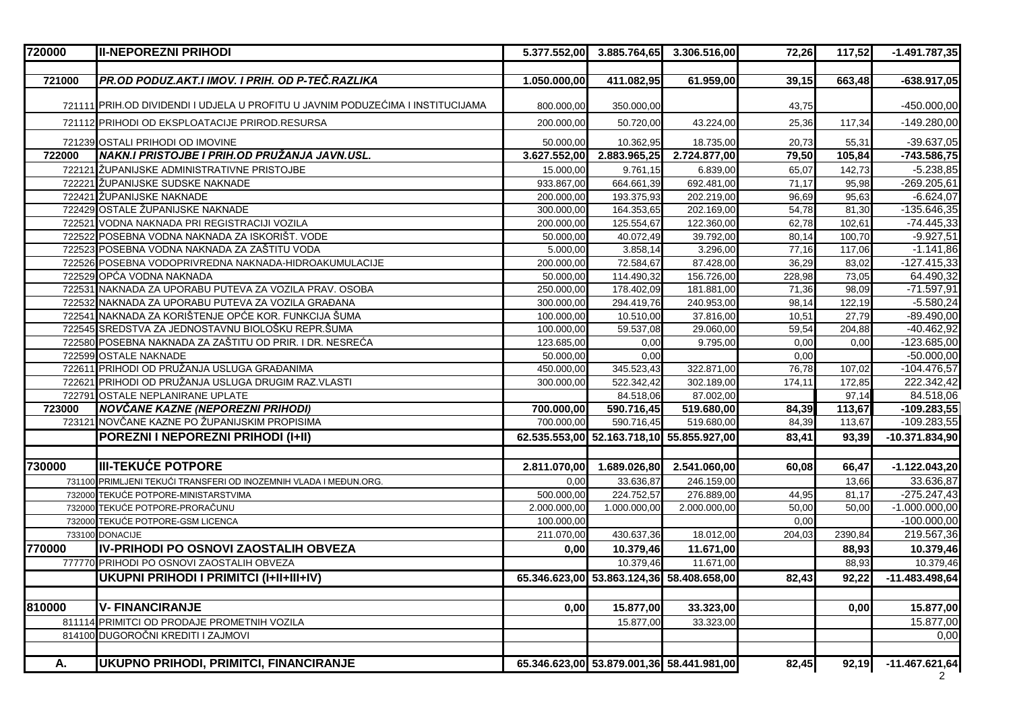| 720000 | <b>II-NEPOREZNI PRIHODI</b>                                                     | 5.377.552,00 | 3.885.764,65                              | 3.306.516,00                              | 72,26  | 117,52  | $-1.491.787,35$  |
|--------|---------------------------------------------------------------------------------|--------------|-------------------------------------------|-------------------------------------------|--------|---------|------------------|
|        |                                                                                 |              |                                           |                                           |        |         |                  |
| 721000 | PR.OD PODUZ.AKT.I IMOV. I PRIH. OD P-TEČ.RAZLIKA                                | 1.050.000,00 | 411.082,95                                | 61.959,00                                 | 39,15  | 663,48  | $-638.917,05$    |
|        | 721111 PRIH.OD DIVIDENDI I UDJELA U PROFITU U JAVNIM PODUZEĆIMA I INSTITUCIJAMA | 800.000,00   | 350.000,00                                |                                           | 43,75  |         | $-450.000,00$    |
|        | 721112 PRIHODI OD EKSPLOATACIJE PRIROD.RESURSA                                  | 200.000,00   | 50.720,00                                 | 43.224,00                                 | 25,36  | 117,34  | $-149.280,00$    |
|        | 721239 OSTALI PRIHODI OD IMOVINE                                                | 50.000,00    | 10.362,95                                 | 18.735,00                                 | 20,73  | 55,31   | $-39.637,05$     |
| 722000 | NAKN.I PRISTOJBE I PRIH.OD PRUŽANJA JAVN.USL.                                   | 3.627.552,00 | 2.883.965,25                              | 2.724.877,00                              | 79,50  | 105,84  | $-743.586,75$    |
|        | 722121 ŽUPANIJSKE ADMINISTRATIVNE PRISTOJBE                                     | 15.000,00    | 9.761,15                                  | 6.839,00                                  | 65,07  | 142,73  | $-5.238,85$      |
|        | 722221 ŽUPANIJSKE SUDSKE NAKNADE                                                | 933.867,00   | 664.661,39                                | 692.481,00                                | 71,17  | 95,98   | $-269.205,61$    |
|        | 722421 ŽUPANIJSKE NAKNADE                                                       | 200.000,00   | 193.375,93                                | 202.219,00                                | 96,69  | 95,63   | $-6.624,07$      |
|        | 722429 OSTALE ŽUPANIJSKE NAKNADE                                                | 300.000,00   | 164.353,65                                | 202.169,00                                | 54,78  | 81,30   | $-135.646,35$    |
|        | 722521 VODNA NAKNADA PRI REGISTRACIJI VOZILA                                    | 200.000,00   | 125.554,67                                | 122.360,00                                | 62,78  | 102,61  | $-74.445,33$     |
|        | 722522 POSEBNA VODNA NAKNADA ZA ISKORIŠT. VODE                                  | 50.000,00    | 40.072,49                                 | 39.792,00                                 | 80,14  | 100,70  | $-9.927,51$      |
|        | 722523 POSEBNA VODNA NAKNADA ZA ZAŠTITU VODA                                    | 5.000,00     | 3.858,14                                  | 3.296,00                                  | 77,16  | 117,06  | $-1.141,86$      |
|        | 722526 POSEBNA VODOPRIVREDNA NAKNADA-HIDROAKUMULACIJE                           | 200.000,00   | 72.584,67                                 | 87.428,00                                 | 36,29  | 83,02   | $-127.415,33$    |
|        | 722529 OPĆA VODNA NAKNADA                                                       | 50.000,00    | 114.490,32                                | 156.726,00                                | 228,98 | 73,05   | 64.490,32        |
| 722531 | NAKNADA ZA UPORABU PUTEVA ZA VOZILA PRAV. OSOBA                                 | 250.000,00   | 178.402,09                                | 181.881,00                                | 71,36  | 98,09   | $-71.597,91$     |
|        | 722532 NAKNADA ZA UPORABU PUTEVA ZA VOZILA GRAĐANA                              | 300.000,00   | 294.419,76                                | 240.953,00                                | 98,14  | 122,19  | $-5.580,24$      |
|        | 722541 NAKNADA ZA KORIŠTENJE OPĆE KOR. FUNKCIJA ŠUMA                            | 100.000,00   | 10.510,00                                 | 37.816,00                                 | 10,51  | 27,79   | $-89.490,00$     |
|        | 722545 SREDSTVA ZA JEDNOSTAVNU BIOLOŠKU REPR.ŠUMA                               | 100.000,00   | 59.537,08                                 | 29.060,00                                 | 59,54  | 204,88  | $-40.462,92$     |
|        | 722580 POSEBNA NAKNADA ZA ZAŠTITU OD PRIR. I DR. NESREĆA                        | 123.685,00   | 0,00                                      | 9.795,00                                  | 0,00   | 0,00    | $-123.685,00$    |
|        | 722599 OSTALE NAKNADE                                                           | 50.000,00    | 0,00                                      |                                           | 0,00   |         | $-50.000,00$     |
| 72261  | PRIHODI OD PRUŽANJA USLUGA GRAĐANIMA                                            | 450.000,00   | 345.523,43                                | 322.871,00                                | 76,78  | 107,02  | $-104.476,57$    |
|        | 722621 PRIHODI OD PRUŽANJA USLUGA DRUGIM RAZ.VLASTI                             | 300.000,00   | 522.342,42                                | 302.189,00                                | 174,11 | 172,85  | 222.342,42       |
|        | 722791 OSTALE NEPLANIRANE UPLATE                                                |              | 84.518,06                                 | 87.002,00                                 |        | 97,14   | 84.518,06        |
| 723000 | NOVČANE KAZNE (NEPOREZNI PRIHODI)                                               | 700.000,00   | 590.716,45                                | 519.680,00                                | 84,39  | 113,67  | $-109.283,55$    |
|        | 723121 NOVČANE KAZNE PO ŽUPANIJSKIM PROPISIMA                                   | 700.000,00   | 590.716,45                                | 519.680,00                                | 84,39  | 113,67  | $-109.283,55$    |
|        | POREZNI I NEPOREZNI PRIHODI (I+II)                                              |              | 62.535.553,00 52.163.718,10 55.855.927,00 |                                           | 83,41  | 93,39   | $-10.371.834,90$ |
| 730000 | <b>III-TEKUĆE POTPORE</b>                                                       |              |                                           |                                           |        |         |                  |
|        |                                                                                 | 2.811.070,00 | 1.689.026,80                              | 2.541.060,00                              | 60,08  | 66,47   | $-1.122.043,20$  |
|        | 731100 PRIMLJENI TEKUĆI TRANSFERI OD INOZEMNIH VLADA I MEĐUN.ORG.               | 0,00         | 33.636,87                                 | 246.159,00                                |        | 13,66   | 33.636,87        |
|        | 732000 TEKUĆE POTPORE-MINISTARSTVIMA                                            | 500.000,00   | 224.752,57                                | 276.889,00                                | 44,95  | 81,17   | $-275.247,43$    |
|        | 732000 TEKUĆE POTPORE-PRORAČUNU                                                 | 2.000.000,00 | 1.000.000,00                              | 2.000.000,00                              | 50,00  | 50,00   | $-1.000.000,00$  |
| 732000 | <b>TEKUĆE POTPORE-GSM LICENCA</b>                                               | 100.000,00   |                                           |                                           | 0.00   |         | $-100.000,00$    |
|        | 733100 DONACIJE                                                                 | 211.070,00   | 430.637,36                                | 18.012,00                                 | 204,03 | 2390,84 | 219.567,36       |
| 770000 | <b>IIV-PRIHODI PO OSNOVI ZAOSTALIH OBVEZA</b>                                   | 0,00         | 10.379,46                                 | 11.671,00                                 |        | 88,93   | 10.379,46        |
|        | 777770 PRIHODI PO OSNOVI ZAOSTALIH OBVEZA                                       |              | 10.379,46                                 | 11.671,00                                 |        | 88,93   | 10.379,46        |
|        | UKUPNI PRIHODI I PRIMITCI (I+II+III+IV)                                         |              |                                           | 65.346.623,00 53.863.124,36 58.408.658,00 | 82,43  | 92,22   | $-11.483.498,64$ |
| 810000 | <b>V- FINANCIRANJE</b>                                                          | 0,00         | 15.877,00                                 | 33.323,00                                 |        | 0,00    | 15.877,00        |
| 81111  | PRIMITCI OD PRODAJE PROMETNIH VOZILA                                            |              | 15.877,00                                 | 33.323,00                                 |        |         | 15.877,00        |
| 81410  | <b>DUGOROČNI KREDITI I ZAJMOVI</b>                                              |              |                                           |                                           |        |         | 0,00             |
| А.     | UKUPNO PRIHODI, PRIMITCI, FINANCIRANJE                                          |              |                                           | 65.346.623,00 53.879.001,36 58.441.981,00 | 82,45  | 92,19   | $-11.467.621,64$ |
|        |                                                                                 |              |                                           |                                           |        |         |                  |